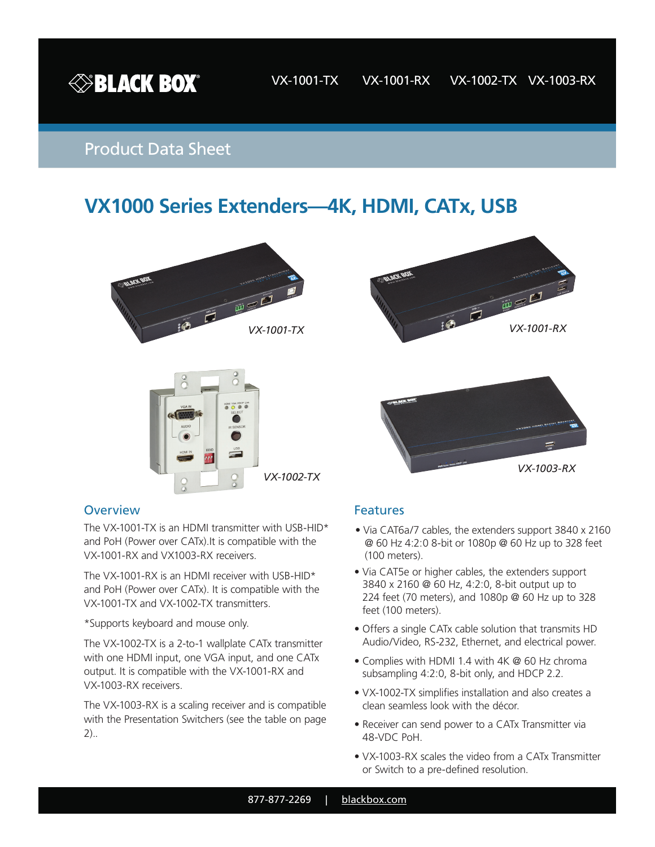

## Product Data Sheet

# **VX1000 Series Extenders—4K, HDMI, CATx, USB**









#### **Overview**

The VX-1001-TX is an HDMI transmitter with USB-HID\* and PoH (Power over CATx).It is compatible with the VX-1001-RX and VX1003-RX receivers.

The VX-1001-RX is an HDMI receiver with USB-HID\* and PoH (Power over CATx). It is compatible with the VX-1001-TX and VX-1002-TX transmitters.

\*Supports keyboard and mouse only.

The VX-1002-TX is a 2-to-1 wallplate CATx transmitter with one HDMI input, one VGA input, and one CATx output. It is compatible with the VX-1001-RX and VX-1003-RX receivers.

The VX-1003-RX is a scaling receiver and is compatible with the Presentation Switchers (see the table on page 2)..

#### **Features**

- Via CAT6a/7 cables, the extenders support 3840 x 2160 @ 60 Hz 4:2:0 8-bit or 1080p @ 60 Hz up to 328 feet (100 meters).
- Via CAT5e or higher cables, the extenders support 3840 x 2160 @ 60 Hz, 4:2:0, 8-bit output up to 224 feet (70 meters), and 1080p @ 60 Hz up to 328 feet (100 meters).
- Offers a single CATx cable solution that transmits HD Audio/Video, RS-232, Ethernet, and electrical power.
- Complies with HDMI 1.4 with 4K @ 60 Hz chroma subsampling 4:2:0, 8-bit only, and HDCP 2.2.
- VX-1002-TX simplifies installation and also creates a clean seamless look with the décor.
- Receiver can send power to a CATx Transmitter via 48-VDC PoH.
- VX-1003-RX scales the video from a CATx Transmitter or Switch to a pre-defined resolution.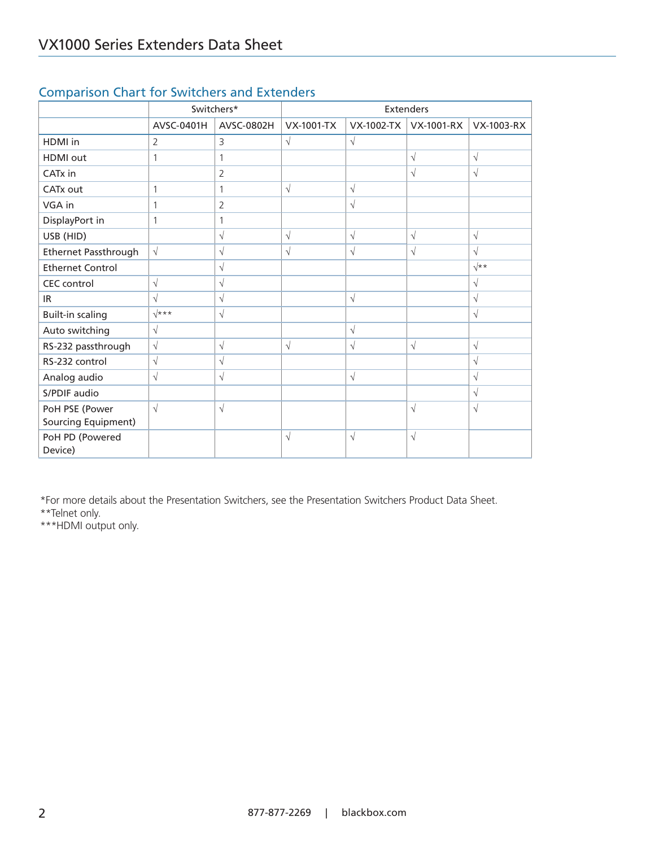|                            | Switchers*     |                | <b>Extenders</b>  |            |                   |             |
|----------------------------|----------------|----------------|-------------------|------------|-------------------|-------------|
|                            | AVSC-0401H     | AVSC-0802H     | <b>VX-1001-TX</b> | VX-1002-TX | <b>VX-1001-RX</b> | VX-1003-RX  |
| HDMI in                    | $\overline{2}$ | 3              | $\sqrt{}$         | $\sqrt{}$  |                   |             |
| <b>HDMI</b> out            | 1              | 1              |                   |            | $\sqrt{}$         | $\sqrt{ }$  |
| CATx in                    |                | $\overline{2}$ |                   |            | $\sqrt{}$         | $\sqrt{ }$  |
| CATx out                   | 1              | 1              | $\sqrt{ }$        | $\sqrt{ }$ |                   |             |
| VGA in                     | 1              | $\overline{2}$ |                   | $\sqrt{ }$ |                   |             |
| DisplayPort in             | 1              |                |                   |            |                   |             |
| USB (HID)                  |                | $\sqrt{}$      | $\sqrt{}$         | $\sqrt{ }$ | $\sqrt{ }$        | $\sqrt{ }$  |
| Ethernet Passthrough       | $\sqrt{ }$     | $\sqrt{}$      | $\sqrt{}$         | $\sqrt{ }$ | $\sqrt{ }$        | $\sqrt{ }$  |
| <b>Ethernet Control</b>    |                | $\sqrt{}$      |                   |            |                   | $\sqrt{**}$ |
| <b>CEC</b> control         | $\sqrt{}$      | $\sqrt{}$      |                   |            |                   | $\sqrt{}$   |
| IR.                        | $\sqrt{ }$     | $\sqrt{ }$     |                   | $\sqrt{}$  |                   | $\sqrt{ }$  |
| <b>Built-in scaling</b>    | $\sqrt{***}$   | $\sqrt{ }$     |                   |            |                   | $\sqrt{}$   |
| Auto switching             | $\sqrt{}$      |                |                   | $\sqrt{ }$ |                   |             |
| RS-232 passthrough         | $\sqrt{}$      | $\sqrt{}$      | $\sqrt{}$         | $\sqrt{}$  | $\sqrt{}$         | $\sqrt{ }$  |
| RS-232 control             | $\sqrt{ }$     | $\sqrt{}$      |                   |            |                   | $\sqrt{ }$  |
| Analog audio               | $\sqrt{ }$     | $\sqrt{ }$     |                   | $\sqrt{ }$ |                   | $\sqrt{ }$  |
| S/PDIF audio               |                |                |                   |            |                   | $\sqrt{ }$  |
| PoH PSE (Power             | $\sqrt{ }$     | $\sqrt{ }$     |                   |            | $\sqrt{ }$        | $\sqrt{ }$  |
| Sourcing Equipment)        |                |                |                   |            |                   |             |
| PoH PD (Powered<br>Device) |                |                | $\sqrt{}$         | $\sqrt{}$  | $\sqrt{ }$        |             |

### Comparison Chart for Switchers and Extenders

\*For more details about the Presentation Switchers, see the Presentation Switchers Product Data Sheet. \*\*Telnet only.

\*\*\*HDMI output only.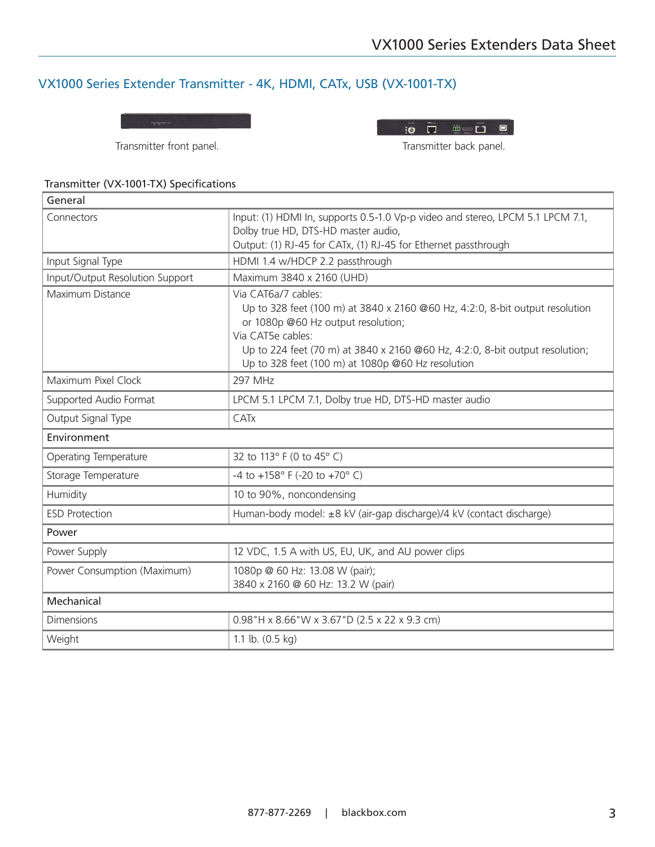### VX1000 Series Extender Transmitter - 4K, HDMI, CATx, USB (VX-1001-TX)

Transmitter front panel. Transmitter back panel.

| DC12V | <b>CATC Out</b> | <b>TV BY A</b><br>85222<br>HDMH <sub>b</sub> | <b>Chernet</b> | USB Host |
|-------|-----------------|----------------------------------------------|----------------|----------|
|       |                 | المصمص بامصط يتمعه فمصمت                     |                |          |

B

#### Transmitter (VX-1001-TX) Specifications

| General                         |                                                                                                                                                                                                                                                                                                     |
|---------------------------------|-----------------------------------------------------------------------------------------------------------------------------------------------------------------------------------------------------------------------------------------------------------------------------------------------------|
| Connectors                      | Input: (1) HDMI In, supports 0.5-1.0 Vp-p video and stereo, LPCM 5.1 LPCM 7.1,<br>Dolby true HD, DTS-HD master audio,                                                                                                                                                                               |
|                                 | Output: (1) RJ-45 for CATx, (1) RJ-45 for Ethernet passthrough                                                                                                                                                                                                                                      |
| Input Signal Type               | HDMI 1.4 w/HDCP 2.2 passthrough                                                                                                                                                                                                                                                                     |
| Input/Output Resolution Support | Maximum 3840 x 2160 (UHD)                                                                                                                                                                                                                                                                           |
| Maximum Distance                | Via CAT6a/7 cables:<br>Up to 328 feet (100 m) at 3840 x 2160 @60 Hz, 4:2:0, 8-bit output resolution<br>or 1080p @60 Hz output resolution;<br>Via CAT5e cables:<br>Up to 224 feet (70 m) at 3840 x 2160 @60 Hz, 4:2:0, 8-bit output resolution;<br>Up to 328 feet (100 m) at 1080p @60 Hz resolution |
| Maximum Pixel Clock             | 297 MHz                                                                                                                                                                                                                                                                                             |
| Supported Audio Format          | LPCM 5.1 LPCM 7.1, Dolby true HD, DTS-HD master audio                                                                                                                                                                                                                                               |
| Output Signal Type              | CATx                                                                                                                                                                                                                                                                                                |
| Environment                     |                                                                                                                                                                                                                                                                                                     |
| Operating Temperature           | 32 to 113° F (0 to 45° C)                                                                                                                                                                                                                                                                           |
| Storage Temperature             | -4 to +158° F (-20 to +70° C)                                                                                                                                                                                                                                                                       |
| Humidity                        | 10 to 90%, noncondensing                                                                                                                                                                                                                                                                            |
| <b>ESD Protection</b>           | Human-body model: ±8 kV (air-gap discharge)/4 kV (contact discharge)                                                                                                                                                                                                                                |
| Power                           |                                                                                                                                                                                                                                                                                                     |
| Power Supply                    | 12 VDC, 1.5 A with US, EU, UK, and AU power clips                                                                                                                                                                                                                                                   |
| Power Consumption (Maximum)     | 1080p @ 60 Hz: 13.08 W (pair);<br>3840 x 2160 @ 60 Hz: 13.2 W (pair)                                                                                                                                                                                                                                |
| Mechanical                      |                                                                                                                                                                                                                                                                                                     |
| <b>Dimensions</b>               | 0.98"H x 8.66"W x 3.67"D (2.5 x 22 x 9.3 cm)                                                                                                                                                                                                                                                        |
| Weight                          | 1.1 lb. $(0.5 \text{ kg})$                                                                                                                                                                                                                                                                          |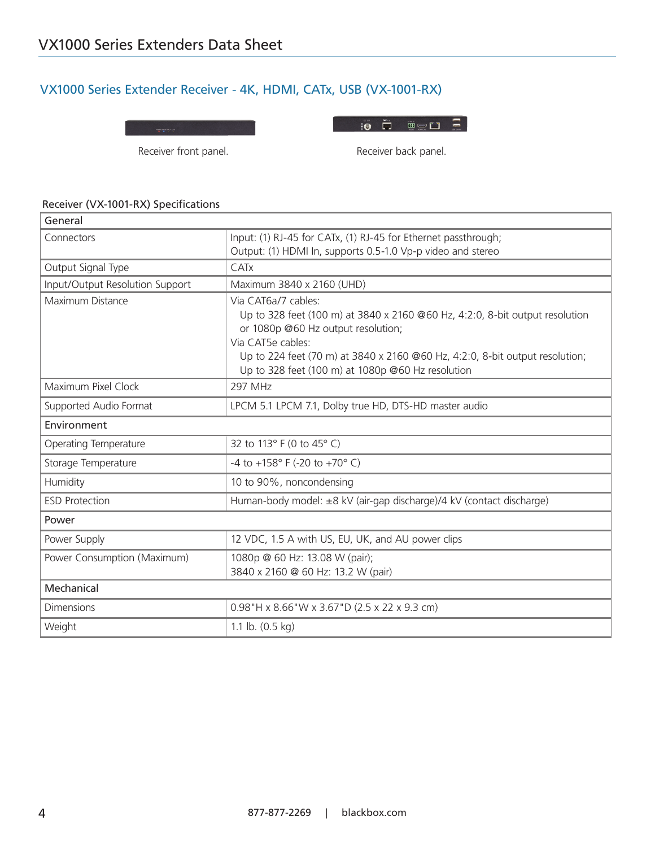### VX1000 Series Extender Receiver - 4K, HDMI, CATx, USB (VX-1001-RX)

Receiver front panel. The same of the Receiver back panel.

#### Receiver (VX-1001-RX) Specifications

| General                         |                                                                                                   |  |
|---------------------------------|---------------------------------------------------------------------------------------------------|--|
| Connectors                      | Input: (1) RJ-45 for CATx, (1) RJ-45 for Ethernet passthrough;                                    |  |
|                                 | Output: (1) HDMI In, supports 0.5-1.0 Vp-p video and stereo                                       |  |
| Output Signal Type              | <b>CATx</b>                                                                                       |  |
| Input/Output Resolution Support | Maximum 3840 x 2160 (UHD)                                                                         |  |
| Maximum Distance                | Via CAT6a/7 cables:                                                                               |  |
|                                 | Up to 328 feet (100 m) at 3840 x 2160 @60 Hz, 4:2:0, 8-bit output resolution                      |  |
|                                 | or 1080p @60 Hz output resolution;                                                                |  |
|                                 | Via CAT5e cables:<br>Up to 224 feet (70 m) at 3840 x 2160 @60 Hz, 4:2:0, 8-bit output resolution; |  |
|                                 | Up to 328 feet (100 m) at 1080p @60 Hz resolution                                                 |  |
| Maximum Pixel Clock             | <b>297 MHz</b>                                                                                    |  |
| Supported Audio Format          | LPCM 5.1 LPCM 7.1, Dolby true HD, DTS-HD master audio                                             |  |
| Environment                     |                                                                                                   |  |
| Operating Temperature           | 32 to 113° F (0 to 45° C)                                                                         |  |
| Storage Temperature             | -4 to +158° F (-20 to +70° C)                                                                     |  |
| Humidity                        | 10 to 90%, noncondensing                                                                          |  |
| <b>ESD Protection</b>           | Human-body model: ±8 kV (air-gap discharge)/4 kV (contact discharge)                              |  |
| Power                           |                                                                                                   |  |
| Power Supply                    | 12 VDC, 1.5 A with US, EU, UK, and AU power clips                                                 |  |
| Power Consumption (Maximum)     | 1080p @ 60 Hz: 13.08 W (pair);                                                                    |  |
|                                 | 3840 x 2160 @ 60 Hz: 13.2 W (pair)                                                                |  |
| Mechanical                      |                                                                                                   |  |
| <b>Dimensions</b>               | 0.98"H x 8.66"W x 3.67"D (2.5 x 22 x 9.3 cm)                                                      |  |
| Weight                          | 1.1 lb. $(0.5 \text{ kg})$                                                                        |  |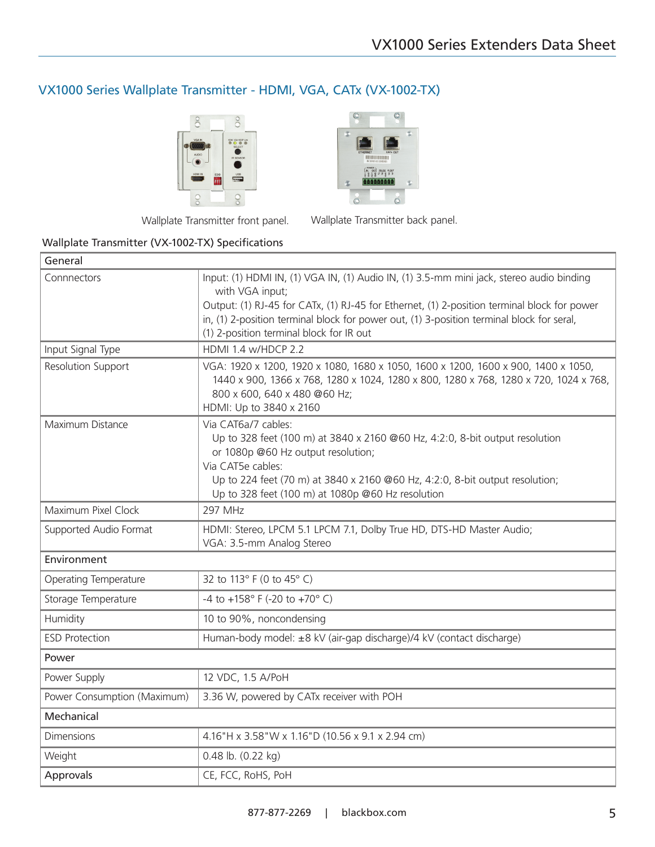### VX1000 Series Wallplate Transmitter - HDMI, VGA, CATx (VX-1002-TX)





Wallplate Transmitter front panel. Wallplate Transmitter back panel.

### Wallplate Transmitter (VX-1002-TX) Specifications

| General                     |                                                                                                                                                                                                                                                                                                                                                     |
|-----------------------------|-----------------------------------------------------------------------------------------------------------------------------------------------------------------------------------------------------------------------------------------------------------------------------------------------------------------------------------------------------|
| Connnectors                 | Input: (1) HDMI IN, (1) VGA IN, (1) Audio IN, (1) 3.5-mm mini jack, stereo audio binding<br>with VGA input;<br>Output: (1) RJ-45 for CATx, (1) RJ-45 for Ethernet, (1) 2-position terminal block for power<br>in, (1) 2-position terminal block for power out, (1) 3-position terminal block for seral,<br>(1) 2-position terminal block for IR out |
| Input Signal Type           | HDMI 1.4 w/HDCP 2.2                                                                                                                                                                                                                                                                                                                                 |
| Resolution Support          | VGA: 1920 x 1200, 1920 x 1080, 1680 x 1050, 1600 x 1200, 1600 x 900, 1400 x 1050,<br>1440 x 900, 1366 x 768, 1280 x 1024, 1280 x 800, 1280 x 768, 1280 x 720, 1024 x 768,<br>800 x 600, 640 x 480 @60 Hz;<br>HDMI: Up to 3840 x 2160                                                                                                                |
| Maximum Distance            | Via CAT6a/7 cables:<br>Up to 328 feet (100 m) at 3840 x 2160 @60 Hz, 4:2:0, 8-bit output resolution<br>or 1080p @60 Hz output resolution;<br>Via CAT5e cables:<br>Up to 224 feet (70 m) at 3840 x 2160 @60 Hz, 4:2:0, 8-bit output resolution;<br>Up to 328 feet (100 m) at 1080p @60 Hz resolution                                                 |
| Maximum Pixel Clock         | <b>297 MHz</b>                                                                                                                                                                                                                                                                                                                                      |
| Supported Audio Format      | HDMI: Stereo, LPCM 5.1 LPCM 7.1, Dolby True HD, DTS-HD Master Audio;<br>VGA: 3.5-mm Analog Stereo                                                                                                                                                                                                                                                   |
| Environment                 |                                                                                                                                                                                                                                                                                                                                                     |
| Operating Temperature       | 32 to 113° F (0 to 45° C)                                                                                                                                                                                                                                                                                                                           |
| Storage Temperature         | -4 to +158° F (-20 to +70° C)                                                                                                                                                                                                                                                                                                                       |
| Humidity                    | 10 to 90%, noncondensing                                                                                                                                                                                                                                                                                                                            |
| <b>ESD Protection</b>       | Human-body model: ±8 kV (air-gap discharge)/4 kV (contact discharge)                                                                                                                                                                                                                                                                                |
| Power                       |                                                                                                                                                                                                                                                                                                                                                     |
| Power Supply                | 12 VDC, 1.5 A/PoH                                                                                                                                                                                                                                                                                                                                   |
| Power Consumption (Maximum) | 3.36 W, powered by CATx receiver with POH                                                                                                                                                                                                                                                                                                           |
| Mechanical                  |                                                                                                                                                                                                                                                                                                                                                     |
| <b>Dimensions</b>           | 4.16"H x 3.58"W x 1.16"D (10.56 x 9.1 x 2.94 cm)                                                                                                                                                                                                                                                                                                    |
| Weight                      | 0.48 lb. (0.22 kg)                                                                                                                                                                                                                                                                                                                                  |
| Approvals                   | CE, FCC, RoHS, PoH                                                                                                                                                                                                                                                                                                                                  |
|                             |                                                                                                                                                                                                                                                                                                                                                     |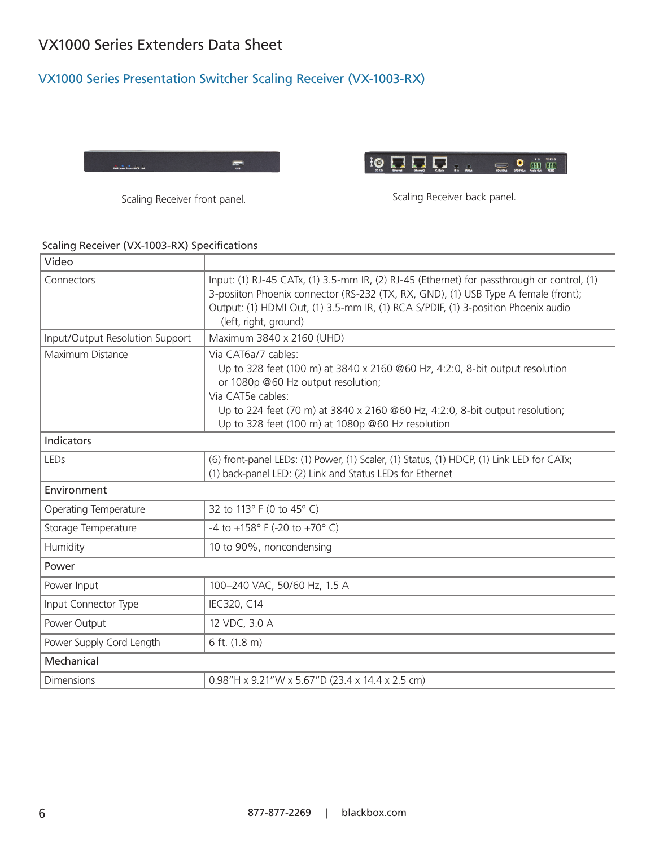## VX1000 Series Presentation Switcher Scaling Receiver (VX-1003-RX)





Scaling Receiver front panel. The Scaling Receiver back panel.

#### Scaling Receiver (VX-1003-RX) Specifications

| Video                           |                                                                                                                                                                                                                                                                                                     |  |
|---------------------------------|-----------------------------------------------------------------------------------------------------------------------------------------------------------------------------------------------------------------------------------------------------------------------------------------------------|--|
| Connectors                      | Input: (1) RJ-45 CATx, (1) 3.5-mm IR, (2) RJ-45 (Ethernet) for passthrough or control, (1)<br>3-posiiton Phoenix connector (RS-232 (TX, RX, GND), (1) USB Type A female (front);<br>Output: (1) HDMI Out, (1) 3.5-mm IR, (1) RCA S/PDIF, (1) 3-position Phoenix audio<br>(left, right, ground)      |  |
| Input/Output Resolution Support | Maximum 3840 x 2160 (UHD)                                                                                                                                                                                                                                                                           |  |
| Maximum Distance                | Via CAT6a/7 cables:<br>Up to 328 feet (100 m) at 3840 x 2160 @60 Hz, 4:2:0, 8-bit output resolution<br>or 1080p @60 Hz output resolution;<br>Via CAT5e cables:<br>Up to 224 feet (70 m) at 3840 x 2160 @60 Hz, 4:2:0, 8-bit output resolution;<br>Up to 328 feet (100 m) at 1080p @60 Hz resolution |  |
| <b>Indicators</b>               |                                                                                                                                                                                                                                                                                                     |  |
| LEDs                            | (6) front-panel LEDs: (1) Power, (1) Scaler, (1) Status, (1) HDCP, (1) Link LED for CATx;<br>(1) back-panel LED: (2) Link and Status LEDs for Ethernet                                                                                                                                              |  |
| Environment                     |                                                                                                                                                                                                                                                                                                     |  |
| Operating Temperature           | 32 to 113° F (0 to 45° C)                                                                                                                                                                                                                                                                           |  |
| Storage Temperature             | -4 to +158° F (-20 to +70° C)                                                                                                                                                                                                                                                                       |  |
| Humidity                        | 10 to 90%, noncondensing                                                                                                                                                                                                                                                                            |  |
| Power                           |                                                                                                                                                                                                                                                                                                     |  |
| Power Input                     | 100-240 VAC, 50/60 Hz, 1.5 A                                                                                                                                                                                                                                                                        |  |
| Input Connector Type            | IEC320, C14                                                                                                                                                                                                                                                                                         |  |
| Power Output                    | 12 VDC, 3.0 A                                                                                                                                                                                                                                                                                       |  |
| Power Supply Cord Length        | 6 ft. (1.8 m)                                                                                                                                                                                                                                                                                       |  |
| Mechanical                      |                                                                                                                                                                                                                                                                                                     |  |
| <b>Dimensions</b>               | 0.98"H x 9.21"W x 5.67"D (23.4 x 14.4 x 2.5 cm)                                                                                                                                                                                                                                                     |  |